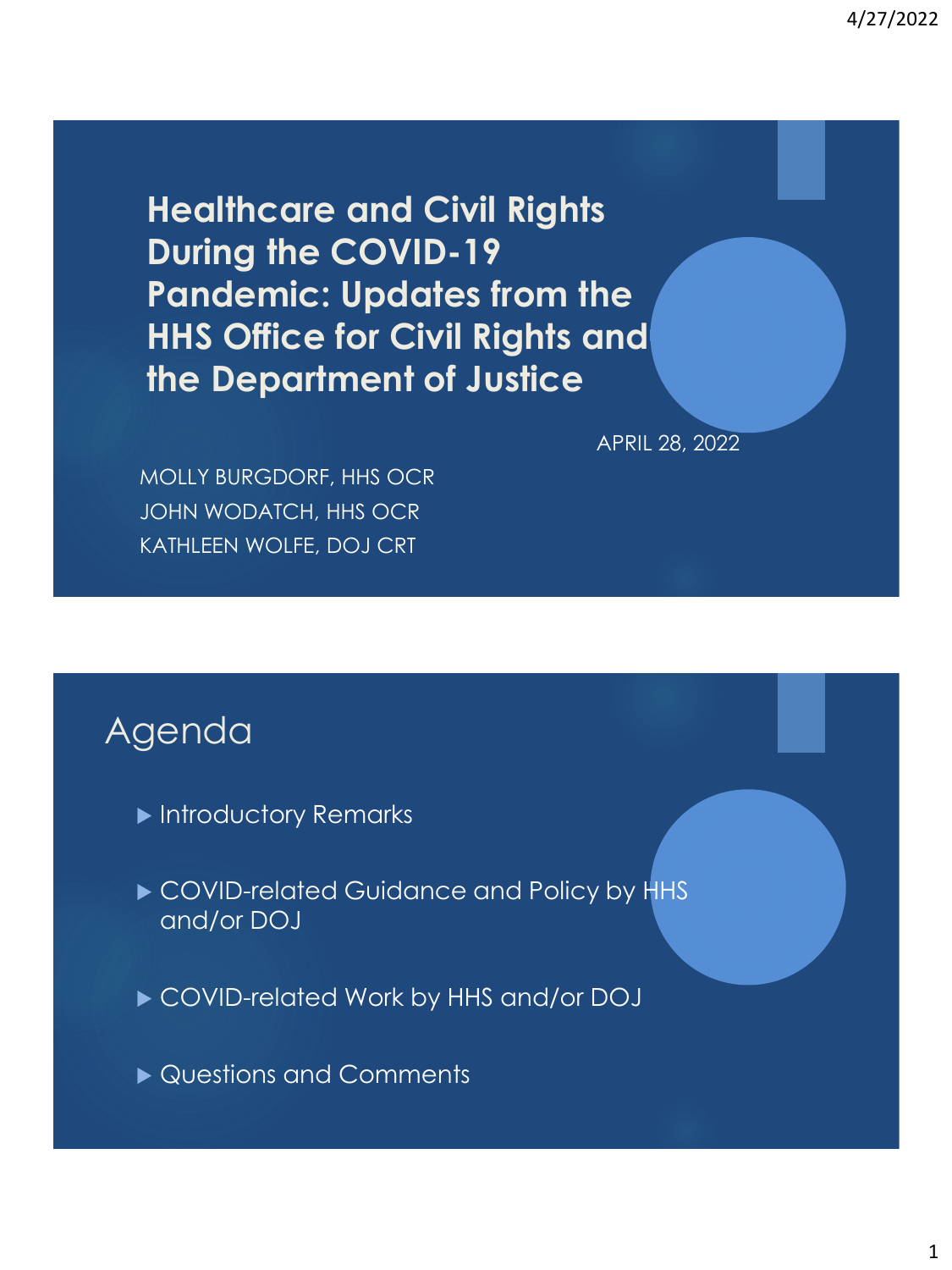**Healthcare and Civil Rights During the COVID-19 Pandemic: Updates from the HHS Office for Civil Rights and the Department of Justice**

APRIL 28, 2022

MOLLY BURGDORF, HHS OCR JOHN WODATCH, HHS OCR KATHLEEN WOLFE, DOJ CRT

## Agenda

- **Introductory Remarks**
- COVID-related Guidance and Policy by HHS and/or DOJ
- ▶ COVID-related Work by HHS and/or DOJ
- ▶ Questions and Comments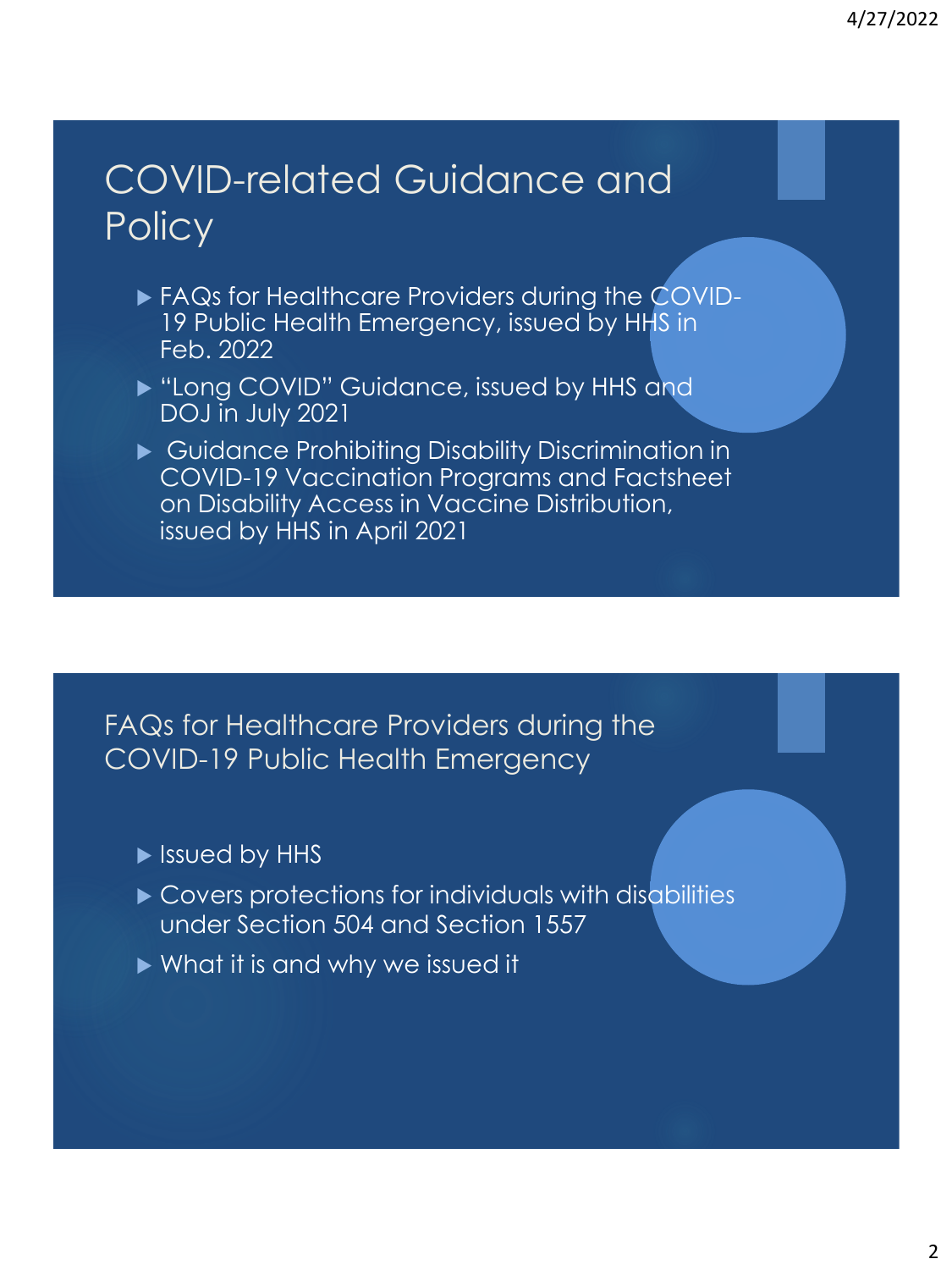# COVID-related Guidance and **Policy**

- ► FAQs for Healthcare Providers during the COVID-19 Public Health Emergency, issued by HHS in Feb. 2022
- **Example 20 Figure 10 Fe 20 Figure 10 Figure 10 Figure 10 Figure 10 Figure 10 Figure 10 Figure 10 Figure 10 Figure 10 Figure 10 Figure 10 Figure 10 Figure 10 Figure 10 Figure 10 Figure 10 Figure 10 Figure 10 Figure 10 Figu** DOJ in July 2021
- Guidance Prohibiting Disability Discrimination in COVID-19 Vaccination Programs and Factsheet on Disability Access in Vaccine Distribution, issued by HHS in April 2021

FAQs for Healthcare Providers during the COVID-19 Public Health Emergency

- **In Issued by HHS**
- Covers protections for individuals with disabilities under Section 504 and Section 1557
- What it is and why we issued it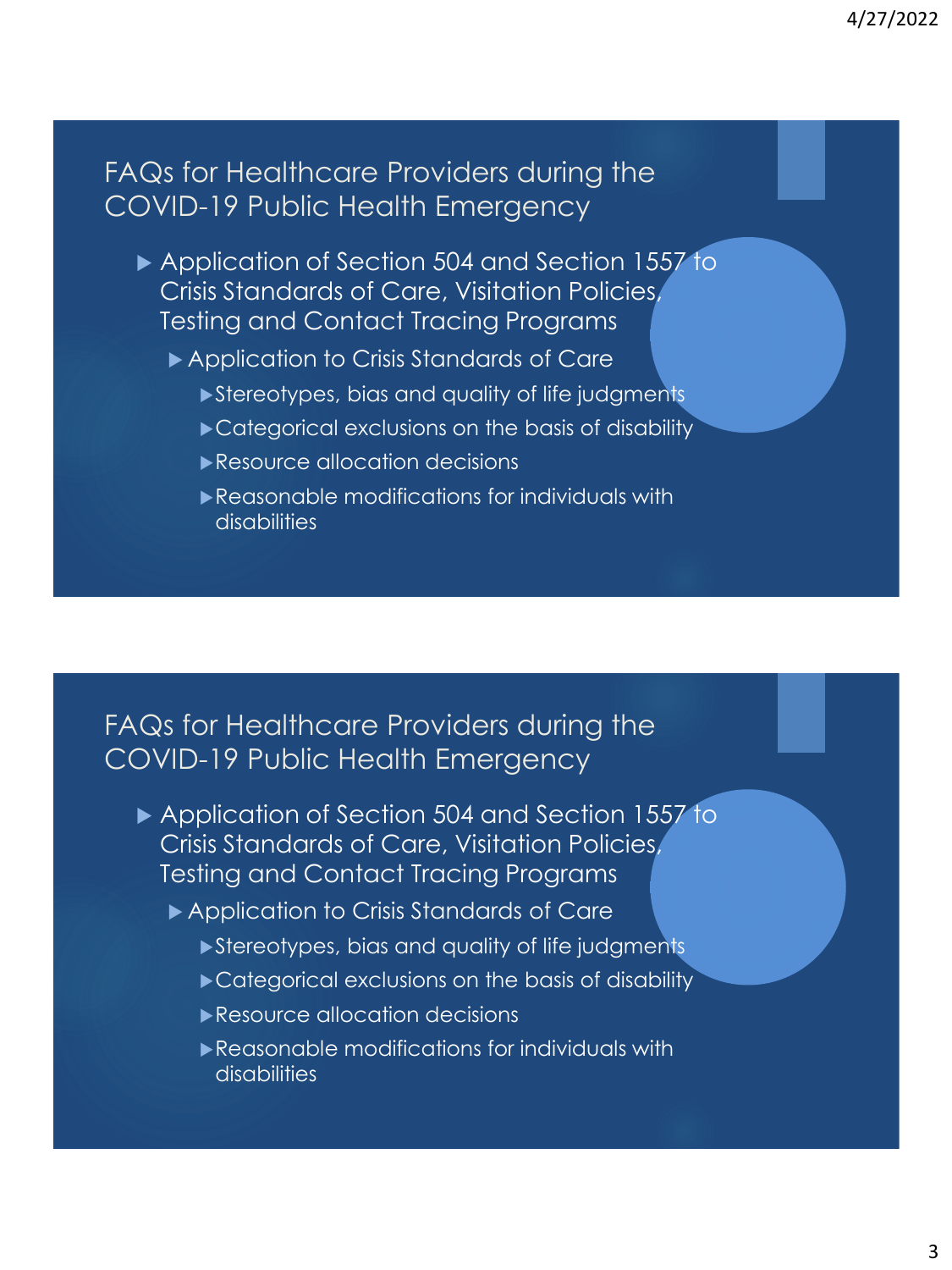#### FAQs for Healthcare Providers during the COVID-19 Public Health Emergency

- ▶ Application of Section 504 and Section 1557 to Crisis Standards of Care, Visitation Policies, Testing and Contact Tracing Programs
	- ▶ Application to Crisis Standards of Care
		- Stereotypes, bias and quality of life judgments
		- Categorical exclusions on the basis of disability
		- Resource allocation decisions
		- Reasonable modifications for individuals with disabilities

#### FAQs for Healthcare Providers during the COVID-19 Public Health Emergency

- ▶ Application of Section 504 and Section 1557 to Crisis Standards of Care, Visitation Policies, Testing and Contact Tracing Programs
	- ▶ Application to Crisis Standards of Care
		- Stereotypes, bias and quality of life judgments
		- Categorical exclusions on the basis of disability
		- Resource allocation decisions
		- Reasonable modifications for individuals with disabilities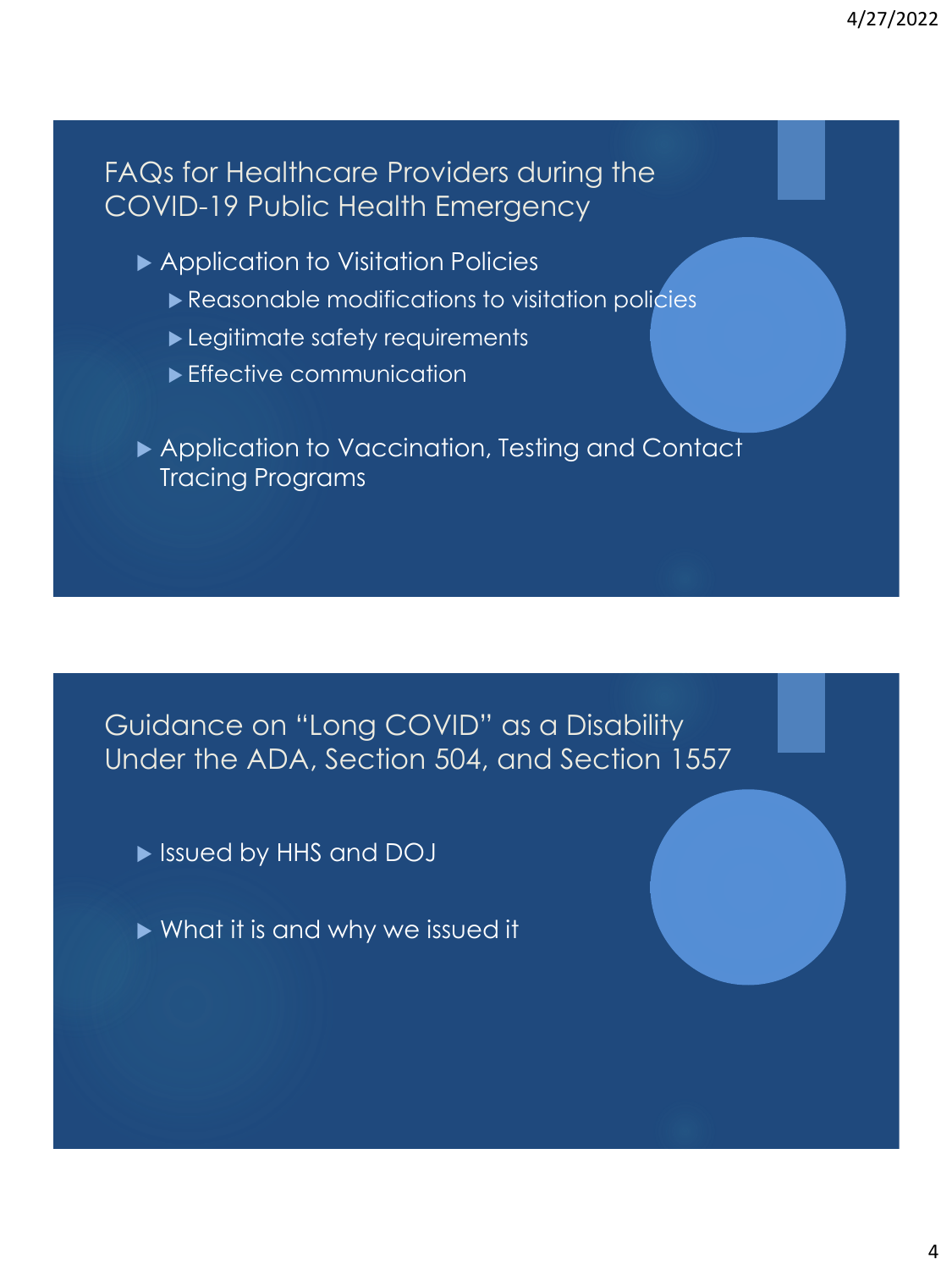#### FAQs for Healthcare Providers during the COVID-19 Public Health Emergency

- ▶ Application to Visitation Policies
	- Reasonable modifications to visitation policies
	- Legitimate safety requirements
	- **Effective communication**
- ▶ Application to Vaccination, Testing and Contact Tracing Programs

Guidance on "Long COVID" as a Disability Under the ADA, Section 504, and Section 1557

- Issued by HHS and DOJ
- What it is and why we issued it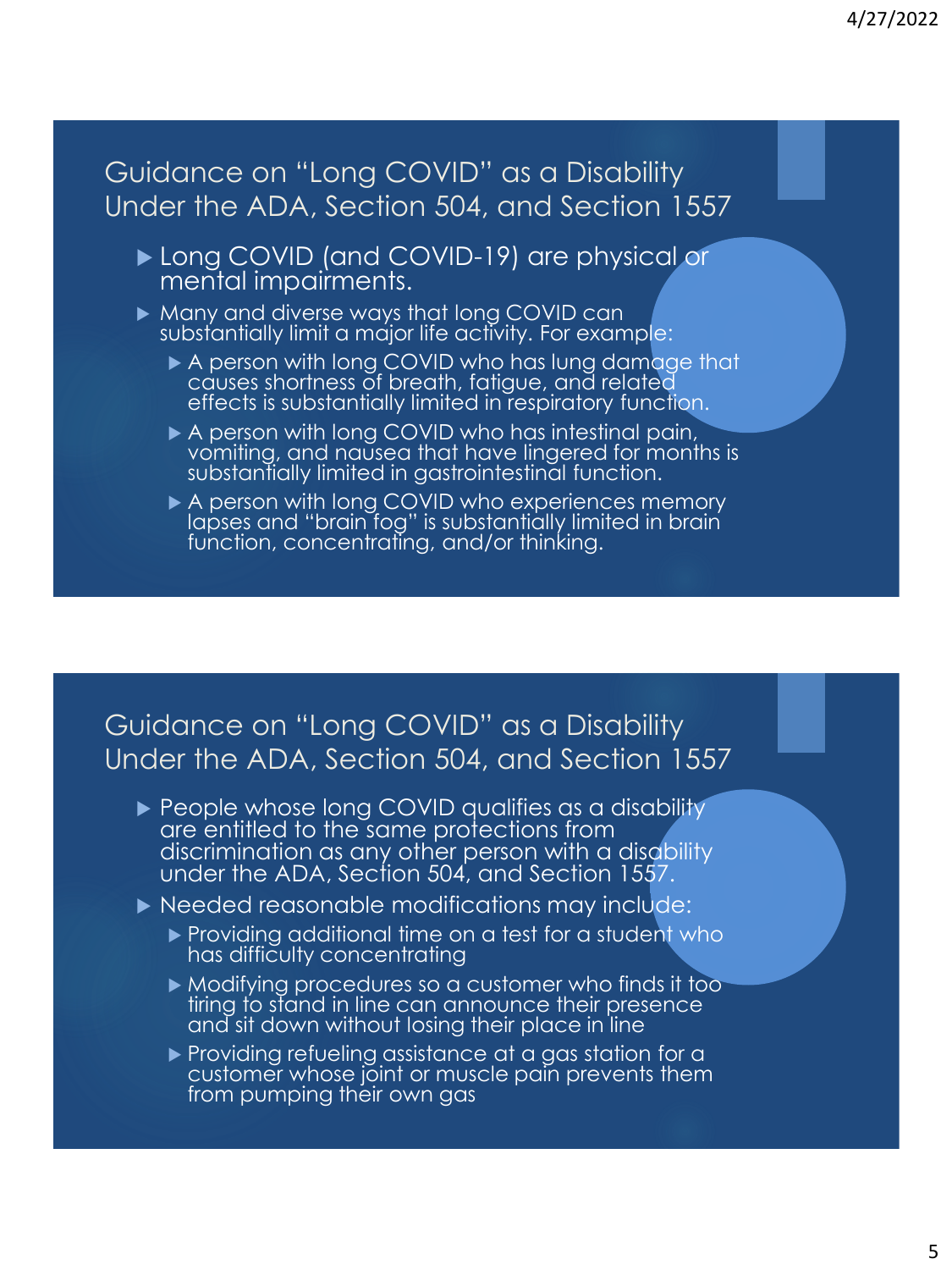Guidance on "Long COVID" as a Disability Under the ADA, Section 504, and Section 1557

- ► Long COVID (and COVID-19) are physical or mental impairments.
- **Many and diverse ways that long COVID can** substantially limit a major life activity. For example:
	- A person with long COVID who has lung damage that causes shortness of breath, fatigue, and related effects is substantially limited in respiratory function.
	- A person with long COVID who has intestinal pain, vomiting, and nausea that have lingered for months is substantially limited in gastrointestinal function.
	- A person with long COVID who experiences memory lapses and "brain fog" is substantially limited in brain function, concentrating, and/or thinking.

#### Guidance on "Long COVID" as a Disability Under the ADA, Section 504, and Section 1557

- **People whose long COVID qualifies as a disability** are entitled to the same protections from discrimination as any other person with a disability under the ADA, Section 504, and Section 1557.
- Needed reasonable modifications may include:
	- Providing additional time on a test for a student who has difficulty concentrating
	- Modifying procedures so a customer who finds it too tiring to stand in line can announce their presence and sit down without losing their place in line
	- **Providing refueling assistance at a gas station for a** customer whose joint or muscle pain prevents them from pumping their own gas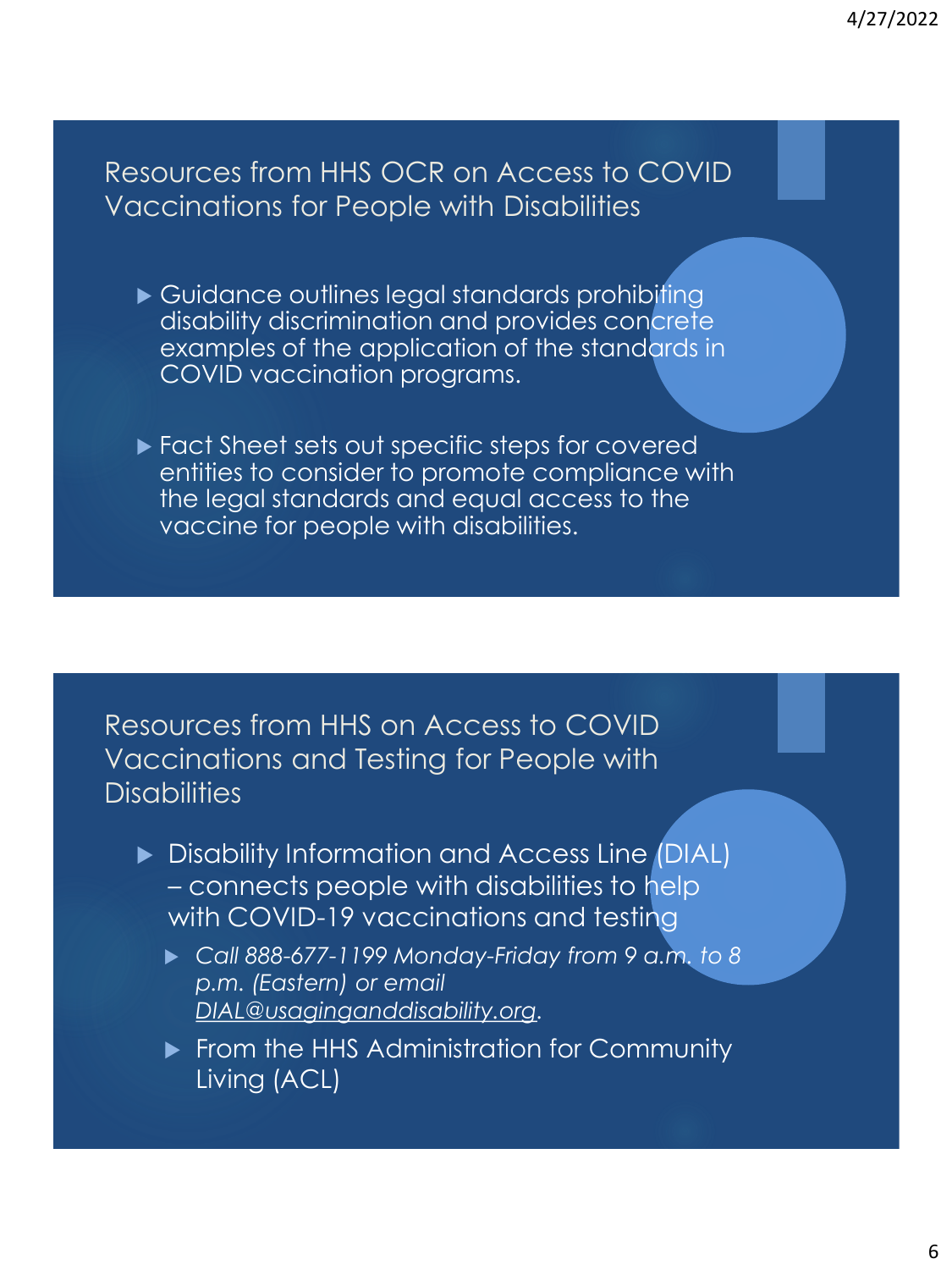Resources from HHS OCR on Access to COVID Vaccinations for People with Disabilities

- Guidance outlines legal standards prohibiting disability discrimination and provides concrete examples of the application of the standards in COVID vaccination programs.
- ▶ Fact Sheet sets out specific steps for covered entities to consider to promote compliance with the legal standards and equal access to the vaccine for people with disabilities.

Resources from HHS on Access to COVID Vaccinations and Testing for People with **Disabilities** 

- Disability Information and Access Line (DIAL) – connects people with disabilities to help with COVID-19 vaccinations and testing
	- *Call 888-677-1199 Monday-Friday from 9 a.m. to 8 p.m. (Eastern) or email [DIAL@usaginganddisability.org.](mailto:DIAL@usaginganddisability.org)*
	- From the HHS Administration for Community Living (ACL)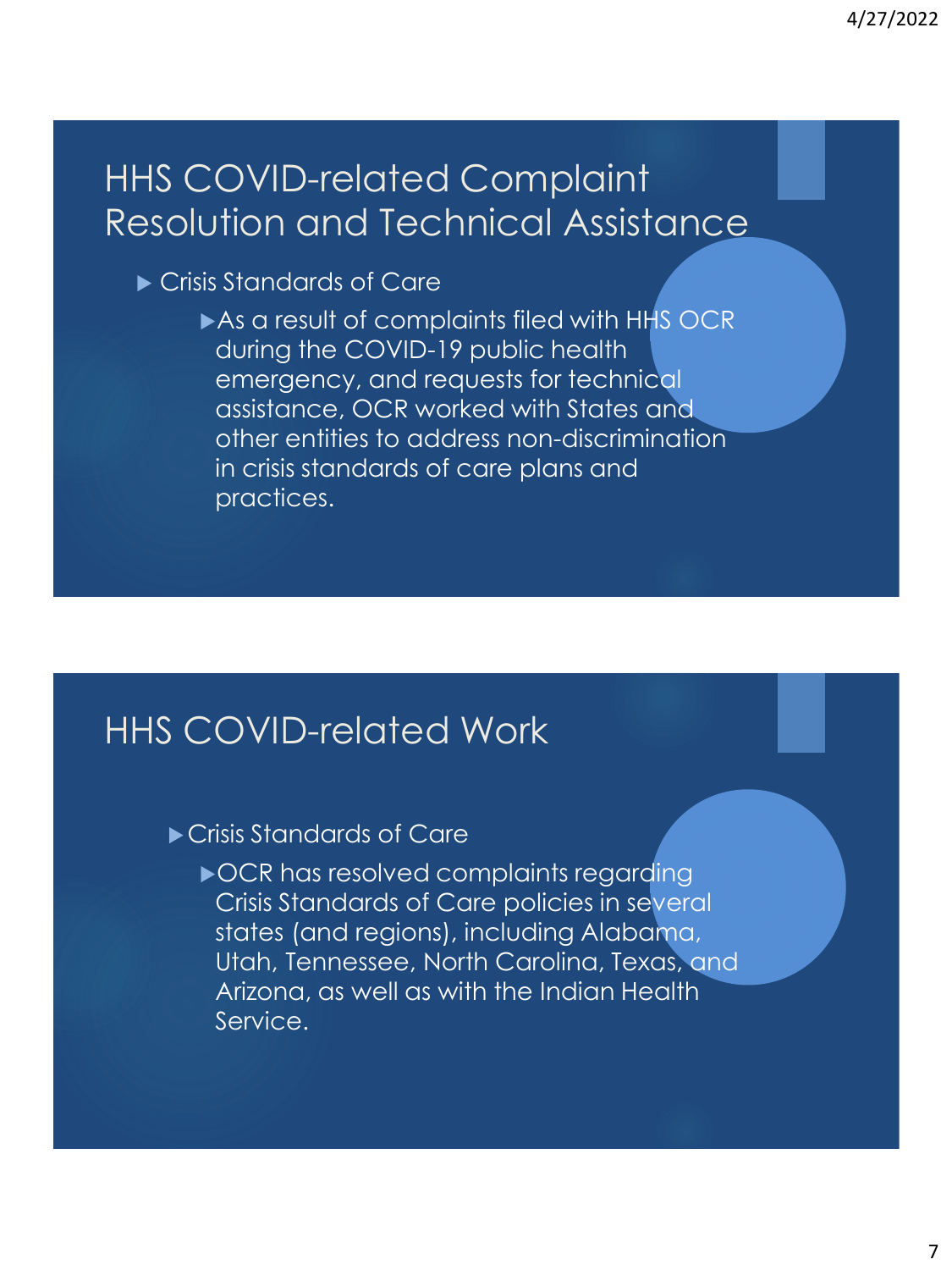## HHS COVID-related Complaint Resolution and Technical Assistance

- Crisis Standards of Care
	- As a result of complaints filed with HHS OCR during the COVID-19 public health emergency, and requests for technical assistance, OCR worked with States and other entities to address non-discrimination in crisis standards of care plans and practices.

## HHS COVID-related Work

- Crisis Standards of Care
	- ▶ OCR has resolved complaints regarding Crisis Standards of Care policies in several states (and regions), including Alabama, Utah, Tennessee, North Carolina, Texas, and Arizona, as well as with the Indian Health Service.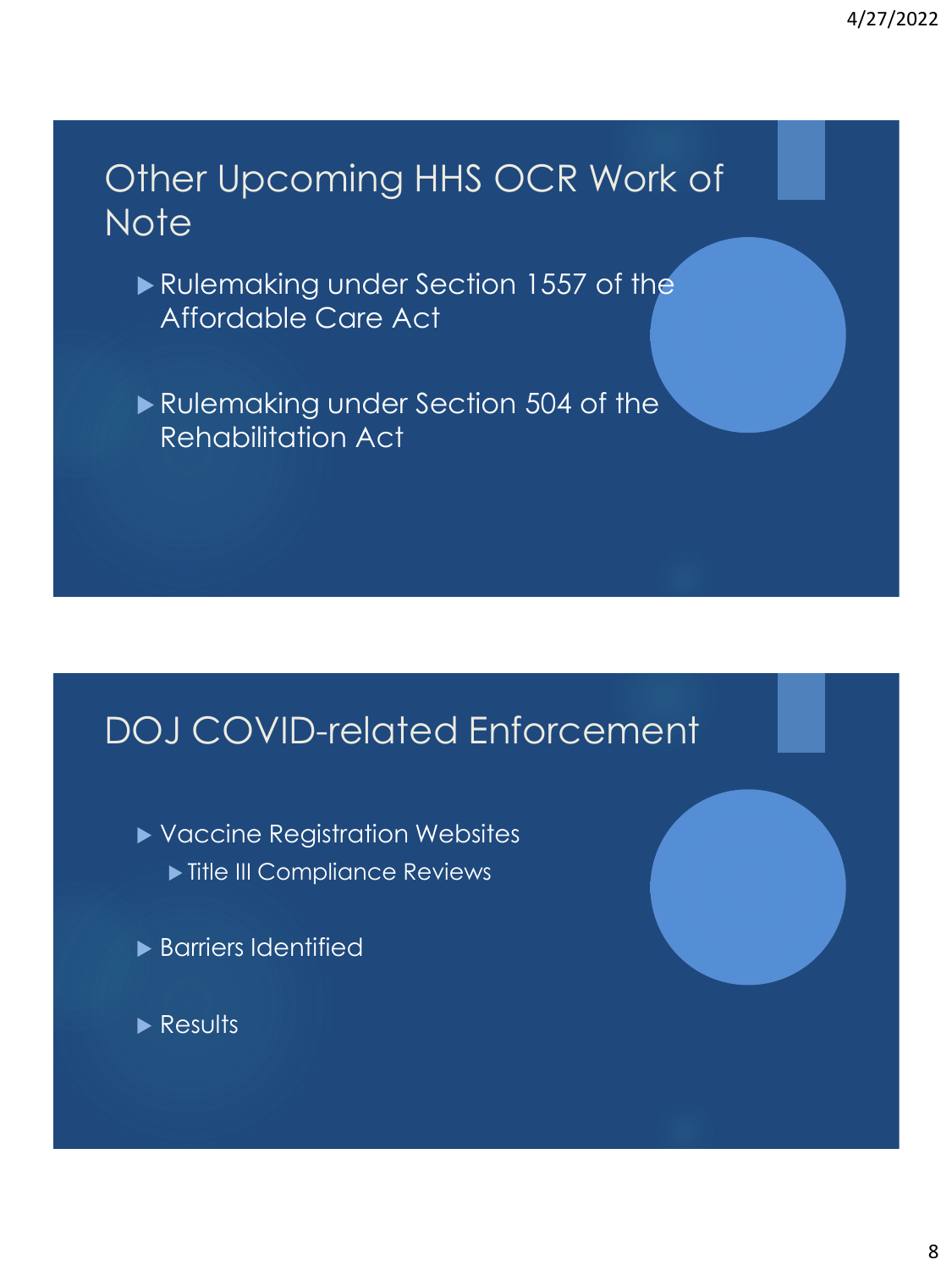### Other Upcoming HHS OCR Work of **Note**

- Rulemaking under Section 1557 of the Affordable Care Act
- Rulemaking under Section 504 of the Rehabilitation Act

# DOJ COVID-related Enforcement

- Vaccine Registration Websites **Title III Compliance Reviews**
- Barriers Identified
- Results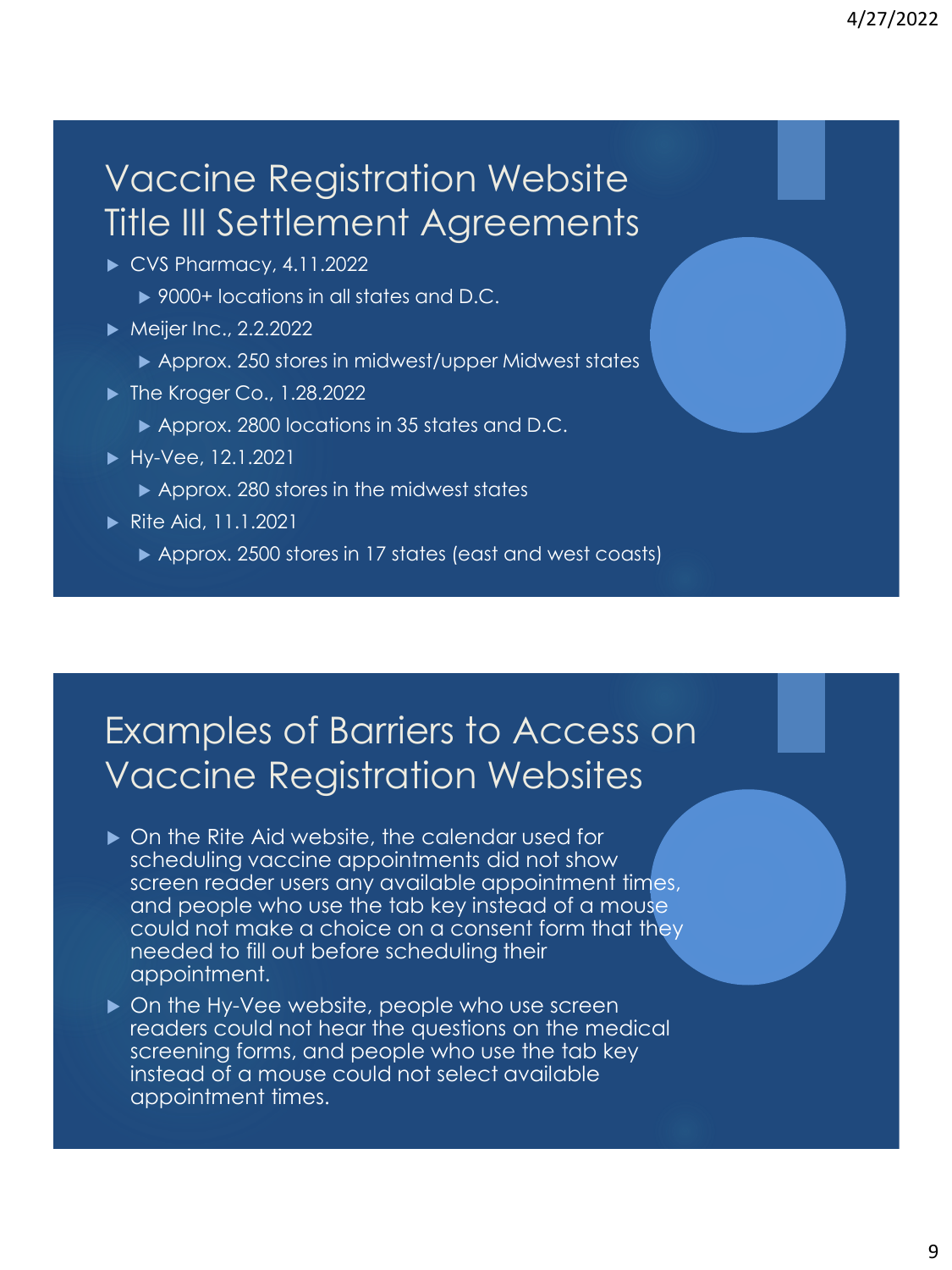# Vaccine Registration Website Title III Settlement Agreements

- CVS Pharmacy, 4.11.2022
	- ▶ 9000+ locations in all states and D.C.
- ▶ Meijer Inc., 2.2.2022
	- Approx. 250 stores in midwest/upper Midwest states
- ▶ The Kroger Co., 1.28.2022
	- ▶ Approx. 2800 locations in 35 states and D.C.
- ► Hy-Vee, 12.1.2021
	- ▶ Approx. 280 stores in the midwest states
- ▶ Rite Aid, 11.1.2021
	- Approx. 2500 stores in 17 states (east and west coasts)

## Examples of Barriers to Access on Vaccine Registration Websites

- ▶ On the Rite Aid website, the calendar used for scheduling vaccine appointments did not show screen reader users any available appointment times, and people who use the tab key instead of a mouse could not make a choice on a consent form that they needed to fill out before scheduling their appointment.
- ▶ On the Hy-Vee website, people who use screen readers could not hear the questions on the medical screening forms, and people who use the tab key instead of a mouse could not select available appointment times.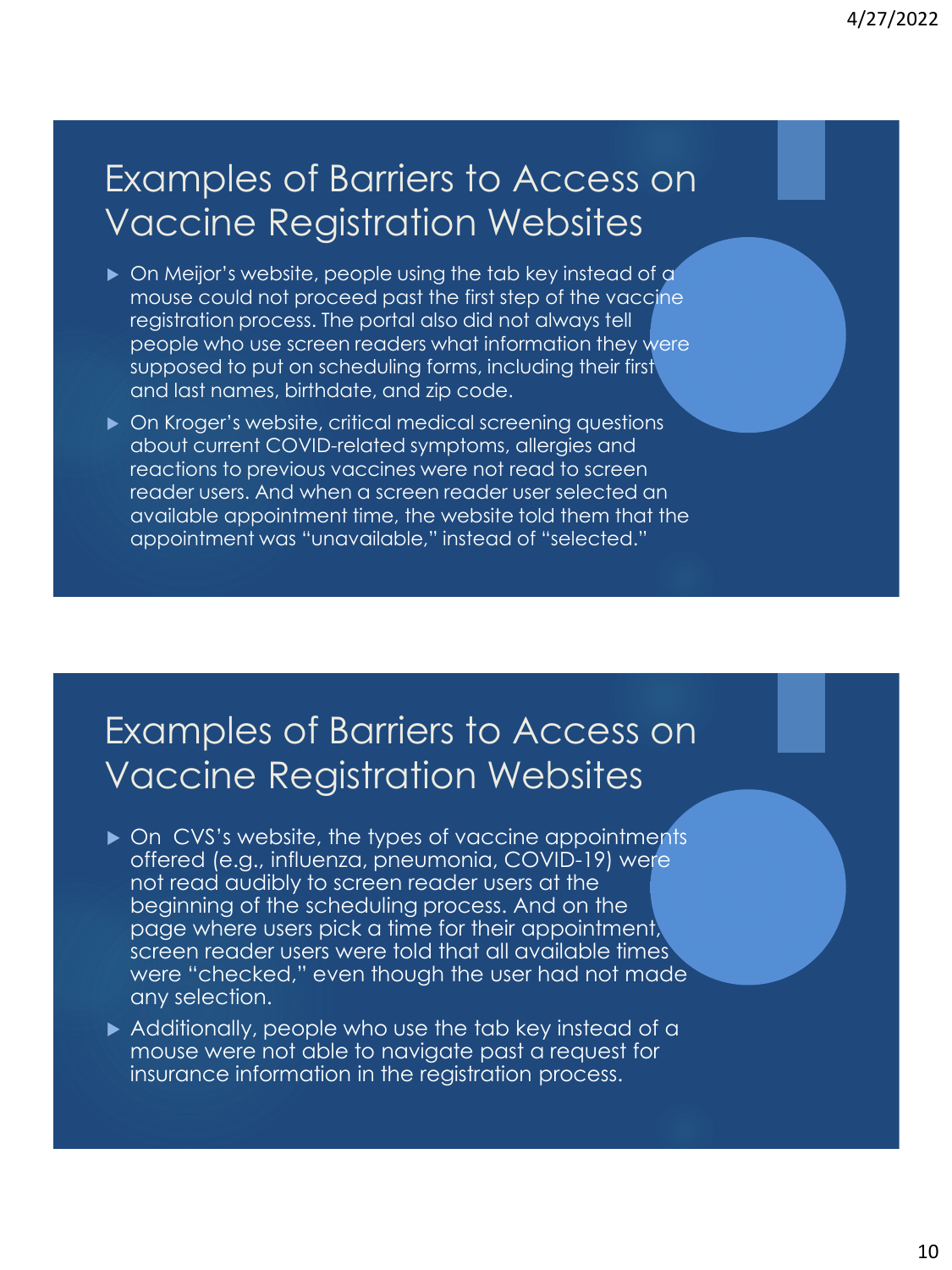#### Examples of Barriers to Access on Vaccine Registration Websites

- ▶ On Meijor's website, people using the tab key instead of a mouse could not proceed past the first step of the vaccine registration process. The portal also did not always tell people who use screen readers what information they were supposed to put on scheduling forms, including their first and last names, birthdate, and zip code.
- ▶ On Kroger's website, critical medical screening questions about current COVID-related symptoms, allergies and reactions to previous vaccines were not read to screen reader users. And when a screen reader user selected an available appointment time, the website told them that the appointment was "unavailable," instead of "selected."

## Examples of Barriers to Access on Vaccine Registration Websites

- ▶ On CVS's website, the types of vaccine appointments offered (e.g., influenza, pneumonia, COVID-19) were not read audibly to screen reader users at the beginning of the scheduling process. And on the page where users pick a time for their appointment, screen reader users were told that all available times were "checked," even though the user had not made any selection.
- Additionally, people who use the tab key instead of a mouse were not able to navigate past a request for insurance information in the registration process.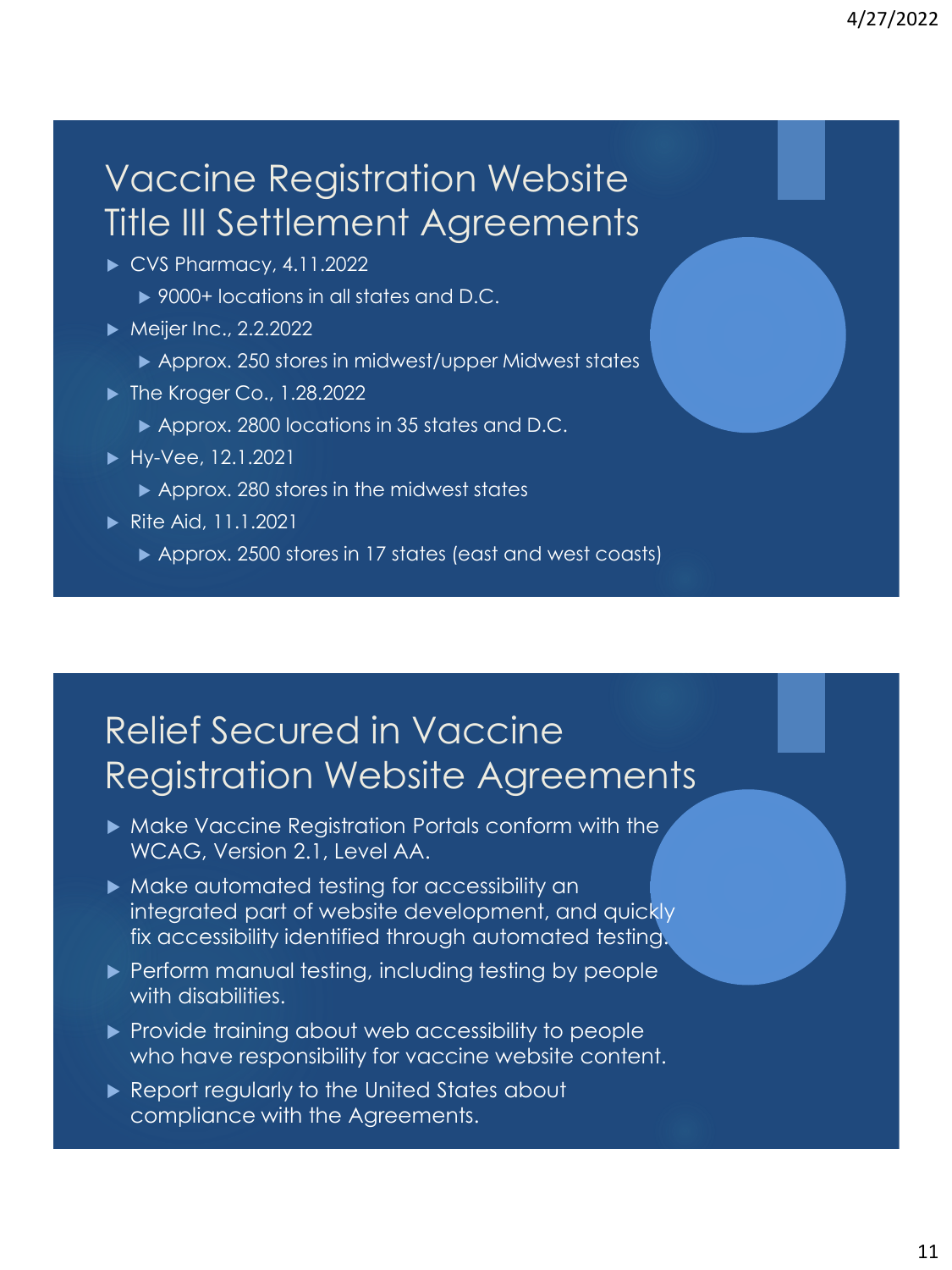# Vaccine Registration Website Title III Settlement Agreements

- CVS Pharmacy, 4.11.2022
	- ▶ 9000+ locations in all states and D.C.
- ▶ Meijer Inc., 2.2.2022
	- ▶ Approx. 250 stores in midwest/upper Midwest states
- ▶ The Kroger Co., 1.28.2022
	- ▶ Approx. 2800 locations in 35 states and D.C.
- Hy-Vee, 12.1.2021
	- ▶ Approx. 280 stores in the midwest states
- Rite Aid, 11.1.2021
	- Approx. 2500 stores in 17 states (east and west coasts)

# Relief Secured in Vaccine Registration Website Agreements

- Make Vaccine Registration Portals conform with the WCAG, Version 2.1, Level AA.
- $\blacktriangleright$  Make automated testing for accessibility an integrated part of website development, and quickly fix accessibility identified through automated testing.
- **Perform manual testing, including testing by people** with disabilities.
- **Provide training about web accessibility to people** who have responsibility for vaccine website content.
- Report regularly to the United States about compliance with the Agreements.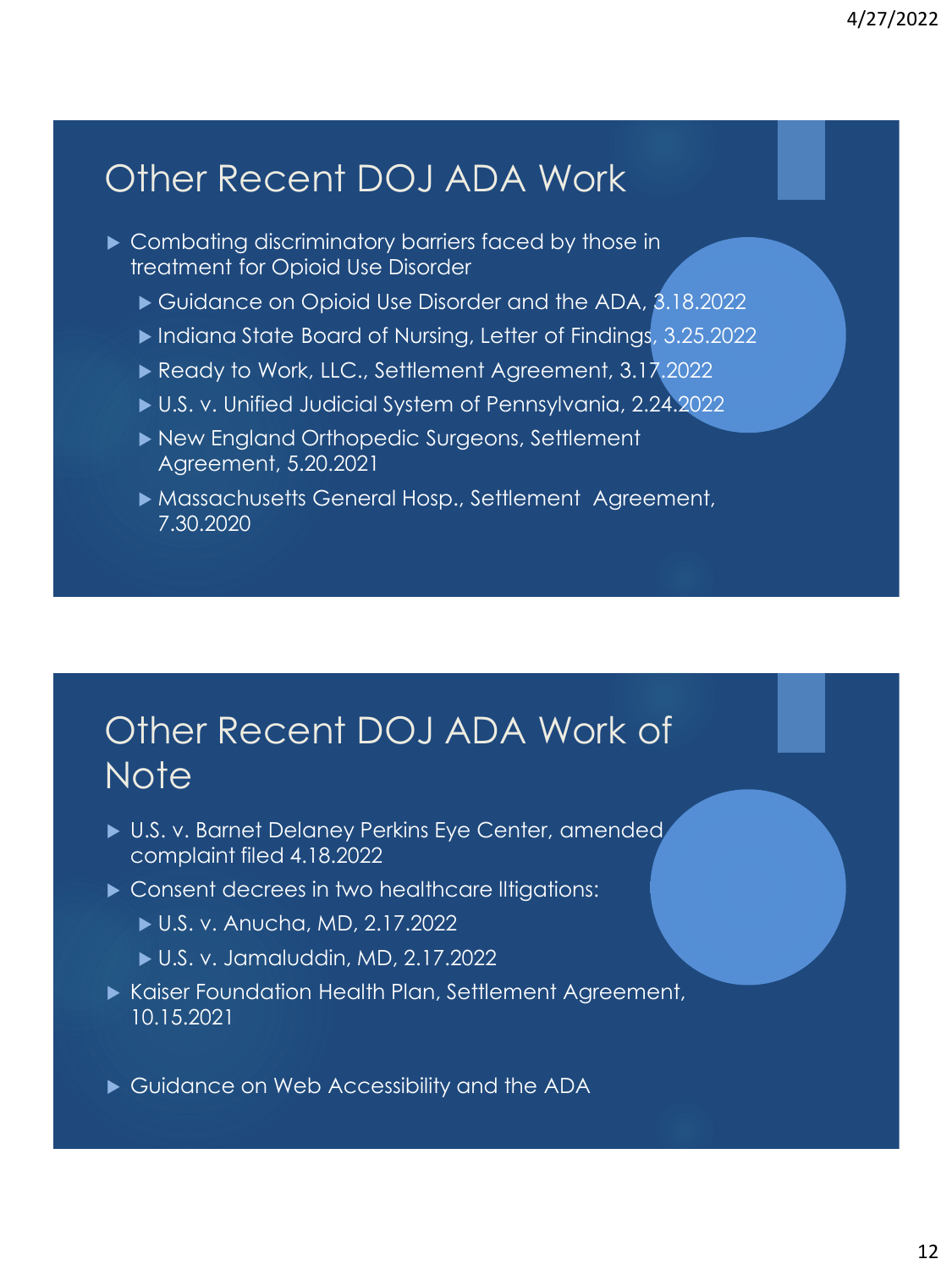# Other Recent DOJ ADA Work

- **Combating discriminatory barriers faced by those in** treatment for Opioid Use Disorder
	- Guidance on Opioid Use Disorder and the ADA, 3.18.2022
	- ▶ Indiana State Board of Nursing, Letter of Findings, 3.25.2022
	- ▶ Ready to Work, LLC., Settlement Agreement, 3.17.2022
	- U.S. v. Unified Judicial System of Pennsylvania, 2.24.2022
	- ▶ New England Orthopedic Surgeons, Settlement Agreement, 5.20.2021
	- Massachusetts General Hosp., Settlement Agreement, 7.30.2020

# Other Recent DOJ ADA Work of Note

- ▶ U.S. v. Barnet Delaney Perkins Eye Center, amended complaint filed 4.18.2022
- ▶ Consent decrees in two healthcare litigations:
	- U.S. v. Anucha, MD, 2.17.2022
	- U.S. v. Jamaluddin, MD, 2.17.2022
- Kaiser Foundation Health Plan, Settlement Agreement, 10.15.2021
- Guidance on Web Accessibility and the ADA